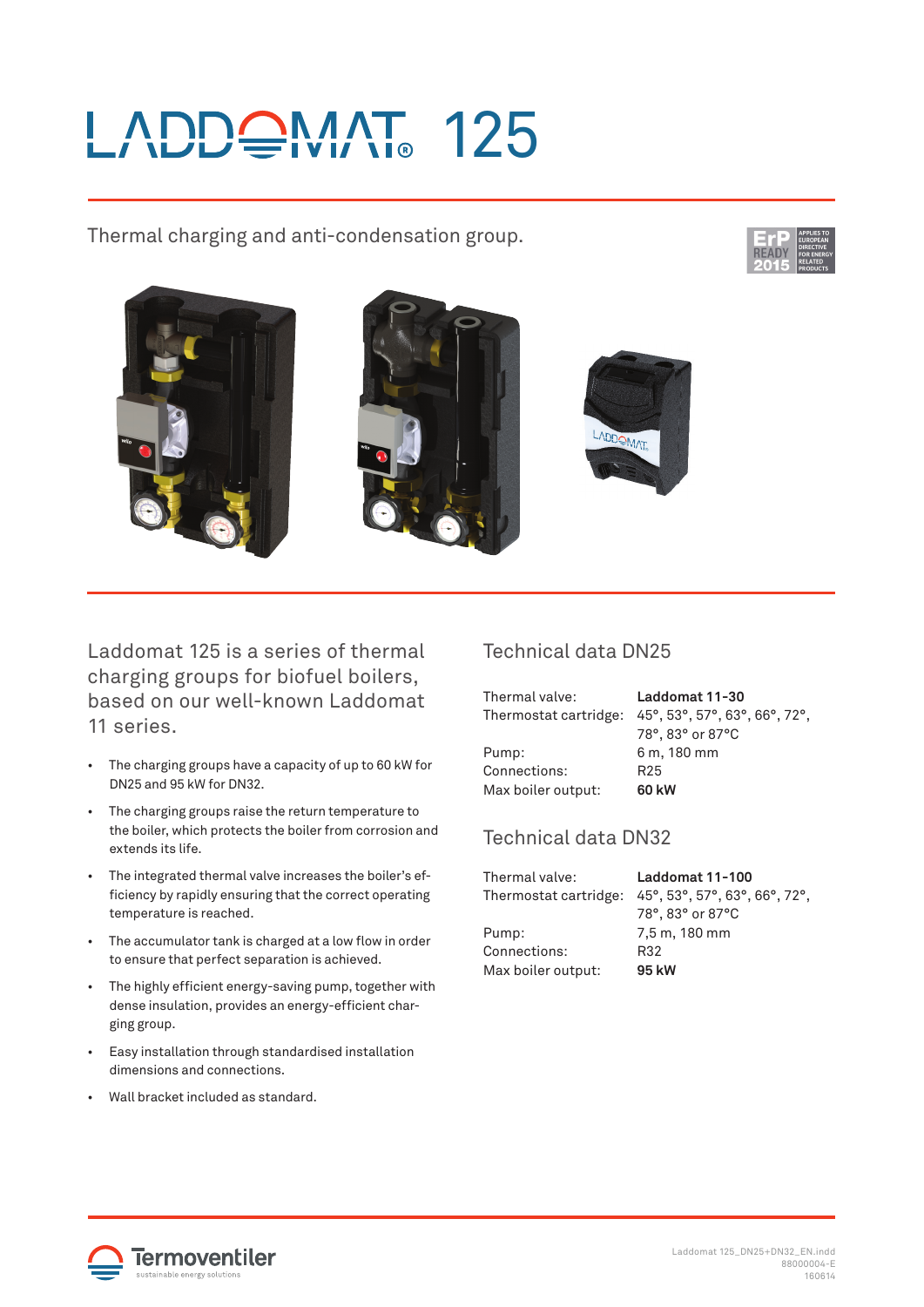# ADDQMAT 125

## Thermal charging and anti-condensation group.









Laddomat 125 is a series of thermal charging groups for biofuel boilers, based on our well-known Laddomat 11 series.

- The charging groups have a capacity of up to 60 kW for DN25 and 95 kW for DN32.
- The charging groups raise the return temperature to the boiler, which protects the boiler from corrosion and extends its life.
- The integrated thermal valve increases the boiler's efficiency by rapidly ensuring that the correct operating temperature is reached.
- The accumulator tank is charged at a low flow in order to ensure that perfect separation is achieved.
- The highly efficient energy-saving pump, together with dense insulation, provides an energy-efficient charging group.
- Easy installation through standardised installation dimensions and connections.
- Wall bracket included as standard.

#### Technical data DN25

| Thermal valve:        | Laddomat 11-30                                                                                 |
|-----------------------|------------------------------------------------------------------------------------------------|
| Thermostat cartridge: | $45^{\circ}$ , 53 $^{\circ}$ , 57 $^{\circ}$ , 63 $^{\circ}$ , 66 $^{\circ}$ , 72 $^{\circ}$ , |
|                       | 78°, 83° or 87°C                                                                               |
| Pump:                 | 6 m, 180 mm                                                                                    |
| Connections:          | R25                                                                                            |
| Max boiler output:    | 60 kW                                                                                          |

### Technical data DN32

| Laddomat 11-100               |
|-------------------------------|
| 45°, 53°, 57°, 63°, 66°, 72°, |
| 78°, 83° or 87°C              |
| 7,5 m, 180 mm                 |
| R32                           |
| 95 kW                         |
|                               |